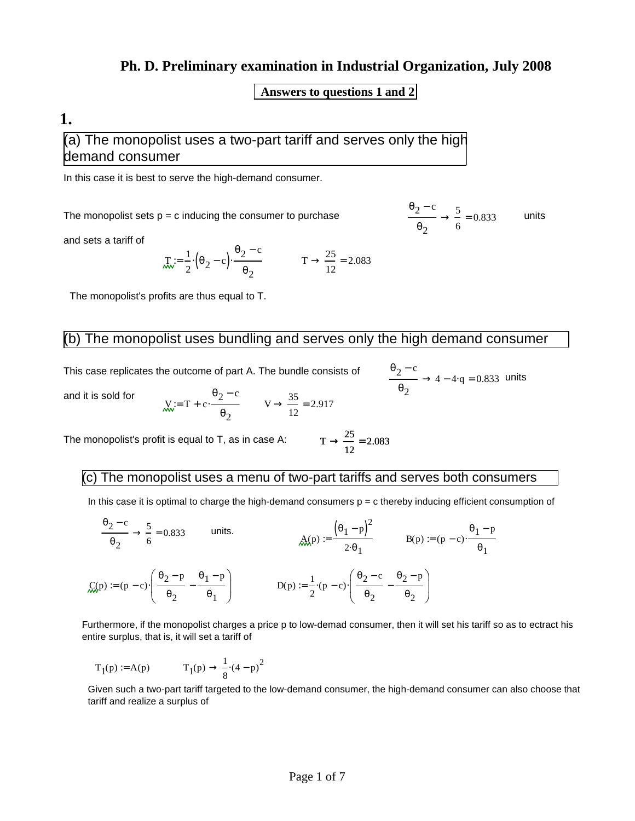#### **Ph. D. Preliminary examination in Industrial Organization, July 2008**

#### **Answers to questions 1 and 2**

### **1.**

(a) The monopolist uses a two-part tariff and serves only the high demand consumer

In this case it is best to serve the high-demand consumer.

The monopolist sets  $p = c$  inducing the consumer to purchase

 $\theta_2$  – c  $\theta_2$ 5 6  $\rightarrow$   $\frac{3}{2}$  = 0.833 units

and sets a tariff of

$$
\pi = \frac{1}{2} \cdot (\theta_2 - c) \cdot \frac{\theta_2 - c}{\theta_2} \qquad T \to \frac{25}{12} = 2.083
$$

The monopolist's profits are thus equal to T.

#### The monopolist uses bundling and serves only the high demand consumer

This case replicates the outcome of part A. The bundle consists of  $\theta$ 

$$
\frac{\rho_2 - c}{\rho_2} \to 4 - 4 \cdot q = 0.833 \text{ units}
$$

and it is sold for

$$
W = T + c \cdot \frac{\theta_2 - c}{\theta_2} \qquad V \to \frac{35}{12} = 2.917
$$

The monopolist's profit is equal to  $T$ , as in case A:  $\rightarrow \frac{28}{1}$  = 2.083

(c) The monopolist uses a menu of two-part tariffs and serves both consumers

In this case it is optimal to charge the high-demand consumers  $p = c$  thereby inducing efficient consumption of

25 12

$$
\frac{\theta_2 - c}{\theta_2} \to \frac{5}{6} = 0.833 \quad \text{units.}
$$
\n
$$
\text{A}(p) := \frac{(\theta_1 - p)^2}{2 \cdot \theta_1} \quad B(p) := (p - c) \cdot \frac{\theta_1 - p}{\theta_1}
$$
\n
$$
\text{C}(p) := (p - c) \cdot \left(\frac{\theta_2 - p}{\theta_2} - \frac{\theta_1 - p}{\theta_1}\right) \quad D(p) := \frac{1}{2} \cdot (p - c) \cdot \left(\frac{\theta_2 - c}{\theta_2} - \frac{\theta_2 - p}{\theta_2}\right)
$$

Furthermore, if the monopolist charges a price p to low-demad consumer, then it will set his tariff so as to ectract his entire surplus, that is, it will set a tariff of

$$
T_1(p) \coloneqq A(p) \hspace{1cm} T_1(p) \rightarrow \frac{1}{8} \cdot \left(4-p\right)^2
$$

Given such a two-part tariff targeted to the low-demand consumer, the high-demand consumer can also choose that tariff and realize a surplus of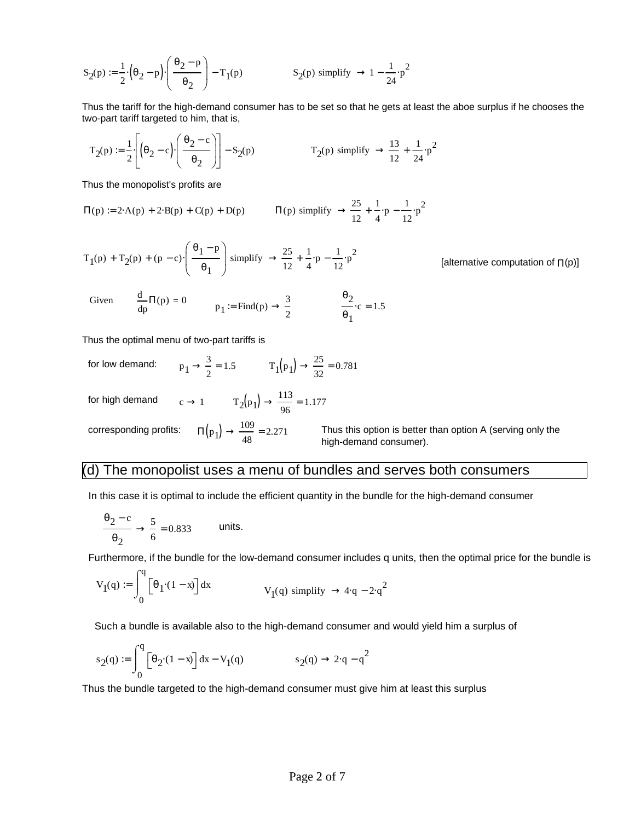$$
S_2(p) := \frac{1}{2} \cdot \left(\theta_2 - p\right) \cdot \left(\frac{\theta_2 - p}{\theta_2}\right) - T_1(p) \qquad S_2(p) \text{ simplify } \to 1 - \frac{1}{24} \cdot p^2
$$

Thus the tariff for the high-demand consumer has to be set so that he gets at least the aboe surplus if he chooses the two-part tariff targeted to him, that is,

$$
T_2(p) := \frac{1}{2} \left[ \left( \theta_2 - c \right) \cdot \left( \frac{\theta_2 - c}{\theta_2} \right) \right] - S_2(p) \qquad T_2(p) \text{ simplify } \to \frac{13}{12} + \frac{1}{24} \cdot p^2
$$

Thus the monopolist's profits are

$$
\Pi(p) := 2 \cdot A(p) + 2 \cdot B(p) + C(p) + D(p) \qquad \Pi(p) \text{ simplify } \to \frac{25}{12} + \frac{1}{4} \cdot p - \frac{1}{12} \cdot p^2
$$

$$
T_1(p) + T_2(p) + (p - c) \cdot \left(\frac{\theta_1 - p}{\theta_1}\right)
$$
 simplify  $\rightarrow \frac{25}{12} + \frac{1}{4} \cdot p - \frac{1}{12} \cdot p^2$ 

[alternative computation of  $\Pi(p)$ ]

Given 
$$
\frac{d}{dp}\Pi(p) = 0
$$
  $p_1 := \text{Find}(p) \rightarrow \frac{3}{2}$   $\frac{\theta_2}{\theta_1} \cdot c = 1.5$ 

Thus the optimal menu of two-part tariffs is

for low demand: 
$$
p_1 \rightarrow \frac{3}{2} = 1.5
$$
  $T_1(p_1) \rightarrow \frac{25}{32} = 0.781$ 

for high demand  $c \to 1$   $T_2(p_1) \to \frac{113}{96}$  $\rightarrow \frac{115}{96} = 1.177$ 

corresponding profits: 109 48

Thus this option is better than option A (serving only the high-demand consumer).

#### (d) The monopolist uses a menu of bundles and serves both consumers

In this case it is optimal to include the efficient quantity in the bundle for the high-demand consumer

$$
\frac{\theta_2 - c}{\theta_2} \to \frac{5}{6} = 0.833
$$
 units.

Furthermore, if the bundle for the low-demand consumer includes q units, then the optimal price for the bundle is

$$
V_1(q) := \int_0^q \left[\theta_1 \cdot (1-x)\right] dx \qquad V_1(q) \text{ simplify } \to 4 \cdot q - 2 \cdot q^2
$$

Such a bundle is available also to the high-demand consumer and would yield him a surplus of

$$
s_2(q) := \int_0^q \left[\theta_2(1-x)\right] dx - V_1(q) \hspace{1cm} s_2(q) \to 2 \cdot q - q^2
$$

Thus the bundle targeted to the high-demand consumer must give him at least this surplus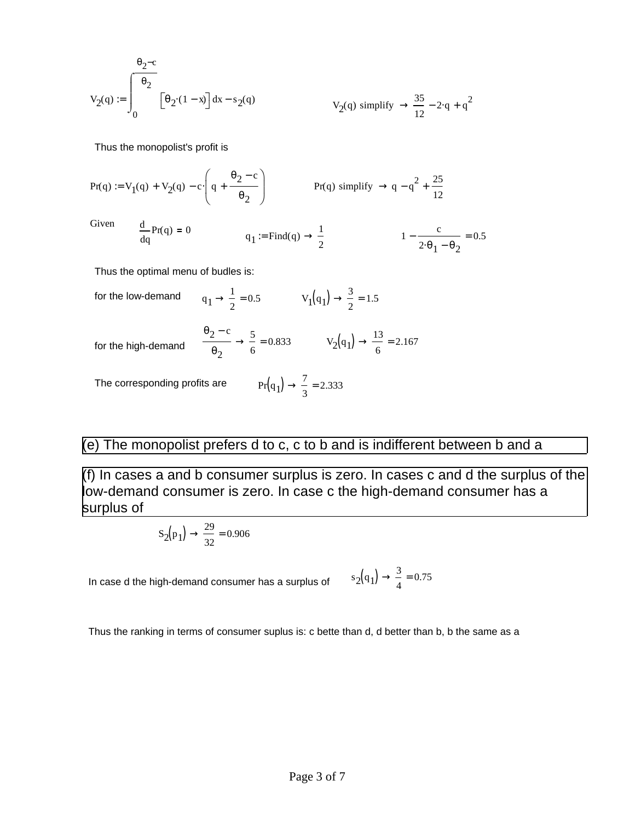$$
V_2(q) := \int_0^{\frac{\theta_2 - c}{\theta_2}} \left[ \theta_2 \cdot (1 - x) \right] dx - s_2(q)
$$
  

$$
V_2(q) \text{ simplify } \rightarrow \frac{35}{12} - 2 \cdot q + q^2
$$

Thus the monopolist's profit is

$$
Pr(q) := V1(q) + V2(q) - c \cdot \left( q + \frac{\theta_2 - c}{\theta_2} \right)
$$
 
$$
Pr(q) \text{ simplify } \rightarrow q - q^2 + \frac{25}{12}
$$

Gi

\n
$$
\frac{d}{dq} \Pr(q) = 0
$$
\n

\n\n $q_1 := \text{Find}(q) \to \frac{1}{2}$ \n

\n\n $1 - \frac{c}{2 \cdot \theta_1 - \theta_2} = 0.5$ \n

Thus the optimal menu of budles is:

for the low-demand 1 1  $\rightarrow \frac{1}{2} = 0.5$   $V_1(q_1) \rightarrow \frac{3}{2}$ 2  $\rightarrow$   $\frac{3}{2}$  = 1.5  $\Theta_2$  – c  $\theta_2$ 5  $\rightarrow \frac{5}{6} = 0.833$   $V_2(q_1) \rightarrow \frac{13}{6}$ for the high-demand  $\frac{2}{\theta_2} \rightarrow \frac{3}{6} = 0.833$   $V_2(q_1) \rightarrow \frac{13}{6} = 2.167$ The corresponding profits are 7  $\rightarrow -2.333$ 

## (e) The monopolist prefers d to c, c to b and is indifferent between b and a

3

(f) In cases a and b consumer surplus is zero. In cases c and d the surplus of the low-demand consumer is zero. In case c the high-demand consumer has a surplus of

$$
S_2(p_1) \to \frac{29}{32} = 0.906
$$

In case d the high-demand consumer has a surplus of

$$
s_2(q_1) \rightarrow \frac{3}{4} = 0.75
$$

Thus the ranking in terms of consumer suplus is: c bette than d, d better than b, b the same as a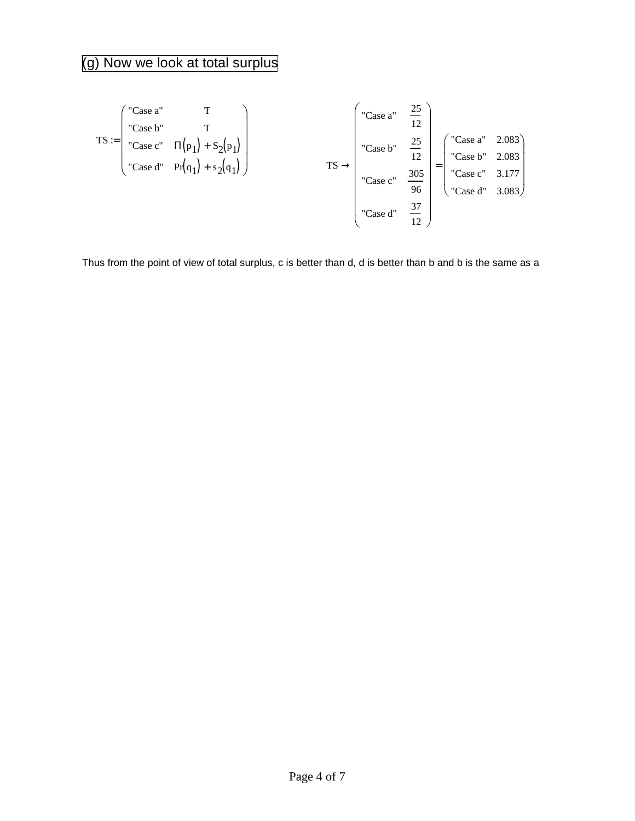# (g) Now we look at total surplus

$$
TS := \begin{pmatrix} \text{"Case a"} & T \\ \text{"Case b"} & T \\ \text{"Case c"} & \Pi(p_1) + S_2(p_1) \\ \text{"Case d"} & \Pr(q_1) + s_2(q_1) \end{pmatrix} \qquad \qquad TS \rightarrow \begin{pmatrix} \text{"Case a"} & \frac{25}{12} \\ \text{"Case b"} & \frac{25}{12} \\ \text{"Case c"} & \frac{305}{96} \\ \text{"Case c"} & \frac{305}{96} \\ \text{"Case d"} & \frac{37}{12} \end{pmatrix} = \begin{pmatrix} \text{"Case a"} & 2.083 \\ \text{"Case c"} & 3.177 \\ \text{"Case d"} & 3.083 \end{pmatrix}
$$

Thus from the point of view of total surplus, c is better than d, d is better than b and b is the same as a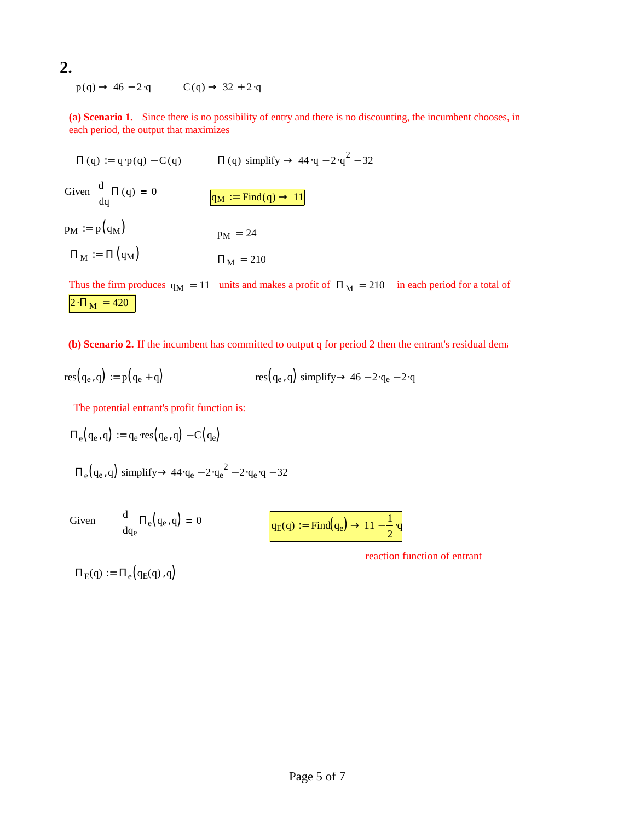## **2.**

 $p(q) \rightarrow 46 - 2 \cdot q$   $C(q) \rightarrow 32 + 2 \cdot q$ 

**(a) Scenario 1.** Since there is no possibility of entry and there is no discounting, the incumbent chooses, in each period, the output that maximizes

 $\Pi(q) := q \cdot p(q) - C(q)$   $\Pi(q)$  simplify  $\rightarrow$  44  $\cdot q - 2 \cdot q^2 - 32$ Given q  $\frac{d}{d\pi} \Pi(q)$ d 0  $q_M := Find(q) \rightarrow 11$  $p_M := p(q_M)$   $p_M = 24$  $\Pi_M := \Pi (q_M)$   $\Pi_M = 210$ 

Thus the firm produces  $q_M = 11$  units and makes a profit of  $\Pi_M = 210$  in each period for a total of  $2 \cdot \Pi_M = 420$ 

**(b) Scenario 2.** If the incumbent has committed to output q for period 2 then the entrant's residual demand is

$$
res(q_e, q) := p(q_e + q)
$$
\n
$$
res(q_e, q) \text{ simplify} \rightarrow 46 - 2 \cdot q_e - 2 \cdot q
$$

The potential entrant's profit function is:

$$
\Pi_e\big(q_e,q\big)\coloneqq q_e\!\cdot\!\textup{res}\big(q_e,q\big)-C\big(q_e\big)
$$

$$
\Pi_e\big(q_e, q\big) \text{ simplify} \rightarrow 44 \cdot q_e - 2 \cdot q_e^2 - 2 \cdot q_e \cdot q - 32
$$

0

Given

$$
q_E(q) := \text{Find}(q_e) \to 11 - \frac{1}{2} \cdot q
$$

reaction function of entrant

 $\Pi_{E}(q) := \Pi_{e}(q_{E}(q), q)$ 

qe

d

 $\frac{d}{d} \Pi_e(q_e, q)$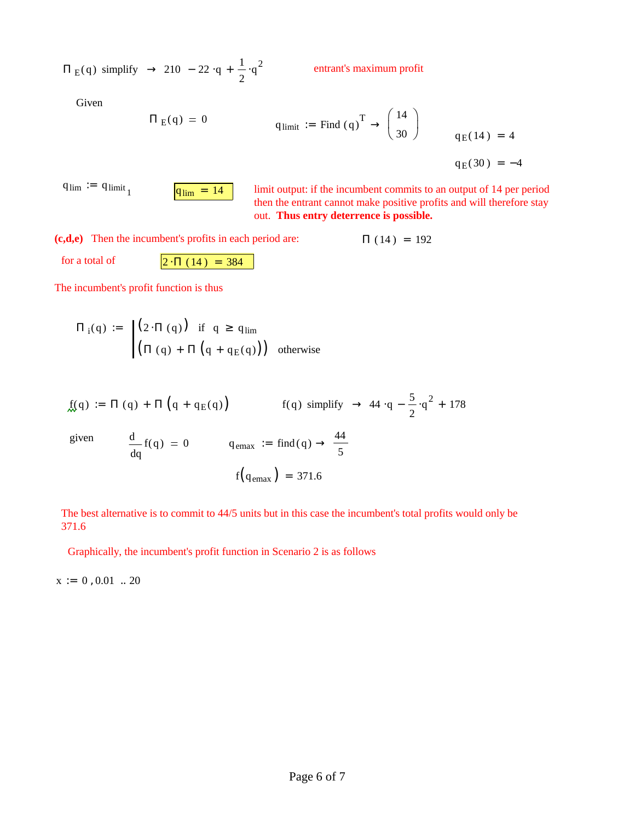$\Pi$ <sub>E</sub>(q) simplify  $\rightarrow$  210 - 22 q +  $\frac{1}{2}$ 2  $q^2$ 

entrant's maximum profit

Given

$$
\Pi_{E}(q) = 0
$$
\n
$$
q_{\text{limit}} := \text{Find } (q)^{T} \to \begin{pmatrix} 14 \\ 30 \end{pmatrix}
$$
\n
$$
q_{E}(14) = 4
$$
\n
$$
q_{E}(30) = -4
$$

$$
q_{\lim} := q_{\lim} \tfrac{1}{1}
$$

limit output: if the incumbent commits to an output of 14 per period then the entrant cannot make positive profits and will therefore stay out. **Thus entry deterrence is possible.**

(c,d,e) Then the incumbent's profits in each period are:  $\Pi(14) = 192$ for a total of  $2 \cdot \Pi (14) = 384$ 

The incumbent's profit function is thus

$$
\Pi_{i}(q) := \begin{cases} (2 \cdot \Pi(q)) & \text{if } q \ge q_{\text{lim}} \\ (\Pi(q) + \Pi(q + q_{\text{E}}(q))) & \text{otherwise} \end{cases}
$$

$$
f(q) := \Pi(q) + \Pi\left(q + q_E(q)\right) \qquad \qquad f(q) \text{ simplify } \rightarrow 44 \cdot q - \frac{5}{2} \cdot q^2 + 178
$$

given

$$
\frac{d}{dq}f(q) = 0 \qquad \text{q}_{\text{emax}} := \text{find}(q) \to \frac{44}{5}
$$

$$
f\left(q_{\text{emax}}\right) = 371.6
$$

The best alternative is to commit to 44/5 units but in this case the incumbent's total profits would only be 371.6

Graphically, the incumbent's profit function in Scenario 2 is as follows

 $x := 0, 0.01$  ... 20